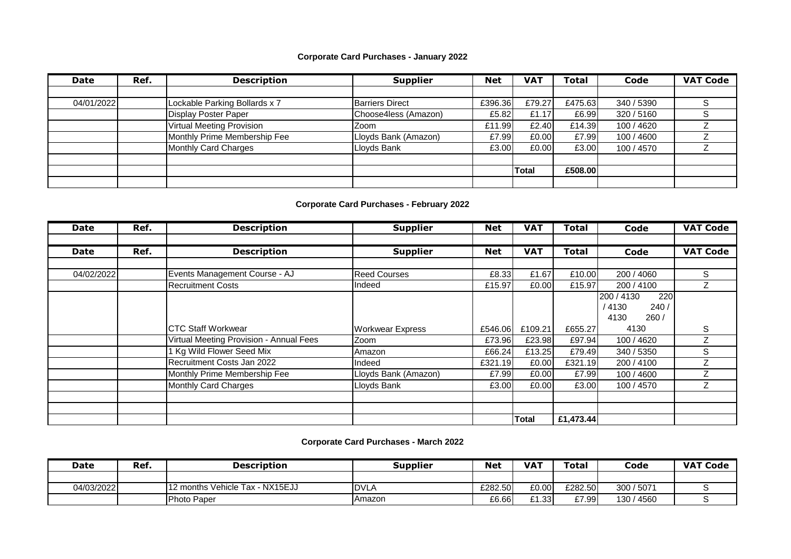## **Corporate Card Purchases - January 2022**

| Date       | Ref. | <b>Description</b>               | <b>Supplier</b>        | <b>Net</b> | <b>VAT</b> | <b>Total</b> | Code       | <b>VAT Code</b> |
|------------|------|----------------------------------|------------------------|------------|------------|--------------|------------|-----------------|
|            |      |                                  |                        |            |            |              |            |                 |
| 04/01/2022 |      | Lockable Parking Bollards x 7    | <b>Barriers Direct</b> | £396.36    | £79.27     | £475.63      | 340 / 5390 |                 |
|            |      | <b>Display Poster Paper</b>      | Choose4less (Amazon)   | £5.82      | £1.17      | £6.99        | 320 / 5160 |                 |
|            |      | <b>Virtual Meeting Provision</b> | Zoom                   | £11.99     | £2.40      | £14.39       | 100 / 4620 |                 |
|            |      | Monthly Prime Membership Fee     | Lloyds Bank (Amazon)   | £7.99      | £0.00      | £7.99        | 100 / 4600 |                 |
|            |      | Monthly Card Charges             | Lloyds Bank            | £3.00      | £0.00      | £3.00        | 100 / 4570 |                 |
|            |      |                                  |                        |            |            |              |            |                 |
|            |      |                                  |                        |            | Total      | £508.00      |            |                 |
|            |      |                                  |                        |            |            |              |            |                 |

## **Corporate Card Purchases - February 2022**

| <b>Date</b> | Ref. | <b>Description</b>                      | <b>Supplier</b>         | <b>Net</b> | <b>VAT</b>   | <b>Total</b> | Code              | <b>VAT Code</b> |
|-------------|------|-----------------------------------------|-------------------------|------------|--------------|--------------|-------------------|-----------------|
|             |      |                                         |                         |            |              |              |                   |                 |
| <b>Date</b> | Ref. | <b>Description</b>                      | <b>Supplier</b>         | <b>Net</b> | <b>VAT</b>   | <b>Total</b> | Code              | <b>VAT Code</b> |
|             |      |                                         |                         |            |              |              |                   |                 |
| 04/02/2022  |      | Events Management Course - AJ           | <b>Reed Courses</b>     | £8.33      | £1.67        | £10.00       | 200 / 4060        | S               |
|             |      | <b>Recruitment Costs</b>                | Indeed                  | £15.97     | £0.00        | £15.97       | 200 / 4100        |                 |
|             |      |                                         |                         |            |              |              | 200 / 4130<br>220 |                 |
|             |      |                                         |                         |            |              |              | 4130<br>240/      |                 |
|             |      |                                         |                         |            |              |              | 4130<br>260/      |                 |
|             |      | <b>ICTC Staff Workwear</b>              | <b>Workwear Express</b> | £546.06    | £109.21      | £655.27      | 4130              | S               |
|             |      | Virtual Meeting Provision - Annual Fees | Zoom                    | £73.96     | £23.98       | £97.94       | 100 / 4620        |                 |
|             |      | 1 Kg Wild Flower Seed Mix               | Amazon                  | £66.24     | £13.25       | £79.49       | 340 / 5350        | S               |
|             |      | Recruitment Costs Jan 2022              | Indeed                  | £321.19    | £0.00        | £321.19      | 200 / 4100        |                 |
|             |      | Monthly Prime Membership Fee            | Lloyds Bank (Amazon)    | £7.99      | £0.00        | £7.99        | 100 / 4600        |                 |
|             |      | <b>Monthly Card Charges</b>             | Lloyds Bank             | £3.00      | £0.00        | £3.00        | 100 / 4570        |                 |
|             |      |                                         |                         |            |              |              |                   |                 |
|             |      |                                         |                         |            |              |              |                   |                 |
|             |      |                                         |                         |            | <b>Total</b> | £1,473.44    |                   |                 |

## **Corporate Card Purchases - March 2022**

| Date       | Ref. | <b>Description</b>              | <b>Supplier</b> | <b>Net</b> | <b>VA1</b> | Total   | Code       | <b>VAT Code</b> |
|------------|------|---------------------------------|-----------------|------------|------------|---------|------------|-----------------|
|            |      |                                 |                 |            |            |         |            |                 |
| 04/03/2022 |      | 12 months Vehicle Tax - NX15EJJ | <b>IDVLA</b>    | £282.50    | £0.00      | £282.50 | 300 / 5071 |                 |
|            |      | Photo Paper                     | Amazon          | £6.66      | £1.33      | £7.99   | 130 / 4560 |                 |